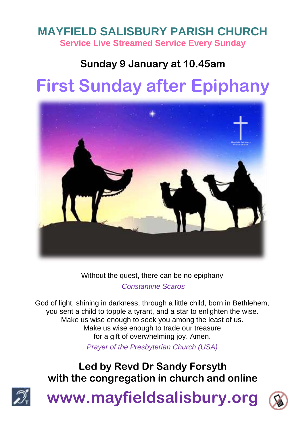# **MAYFIELD SALISBURY PARISH CHURCH Service Live Streamed Service Every Sunday**

# **Sunday 9 January at 10.45am**

# **First Sunday after Epiphany**



Without the quest, there can be no epiphany

*Constantine Scaros*

God of light, shining in darkness, through a little child, born in Bethlehem, you sent a child to topple a tyrant, and a star to enlighten the wise. Make us wise enough to seek you among the least of us. Make us wise enough to trade our treasure for a gift of overwhelming joy. Amen.

*Prayer of the Presbyterian Church (USA)*

# **Led by Revd Dr Sandy Forsyth with the congregation in church and online**



**www.mayfieldsalisbury.org**

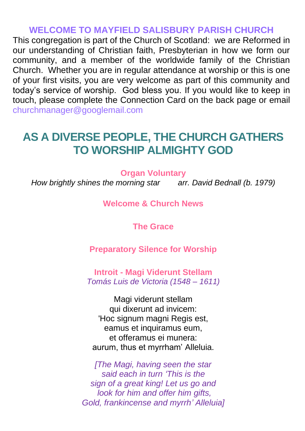#### **WELCOME TO MAYFIELD SALISBURY PARISH CHURCH**

This congregation is part of the Church of Scotland: we are Reformed in our understanding of Christian faith, Presbyterian in how we form our community, and a member of the worldwide family of the Christian Church. Whether you are in regular attendance at worship or this is one of your first visits, you are very welcome as part of this community and today's service of worship. God bless you. If you would like to keep in touch, please complete the Connection Card on the back page or email churchmanager@googlemail.com

# **AS A DIVERSE PEOPLE, THE CHURCH GATHERS TO WORSHIP ALMIGHTY GOD**

**Organ Voluntary**

*How brightly shines the morning star arr. David Bednall (b. 1979)*

#### **Welcome & Church News**

**The Grace**

**Preparatory Silence for Worship**

**Introit - Magi Viderunt Stellam** *Tomás Luis de Victoria (1548 – 1611)*

Magi viderunt stellam qui dixerunt ad invicem: 'Hoc signum magni Regis est, eamus et inquiramus eum, et offeramus ei munera: aurum, thus et myrrham' Alleluia.

*[The Magi, having seen the star said each in turn 'This is the sign of a great king! Let us go and look for him and offer him gifts, Gold, frankincense and myrrh' Alleluia]*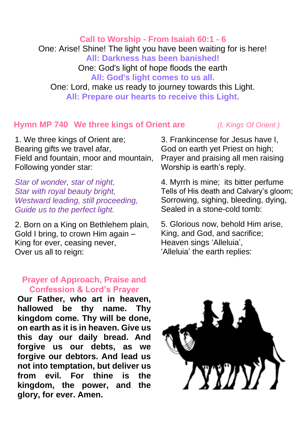**Call to Worship - From Isaiah 60:1 - 6**

One: Arise! Shine! The light you have been waiting for is here!

**All: Darkness has been banished!**

One: God's light of hope floods the earth

#### **All: God's light comes to us all.**

One: Lord, make us ready to journey towards this Light. **All: Prepare our hearts to receive this Light.**

#### **Hymn MP 740 We three kings of Orient are** *(t. Kings Of Orient )*

1. We three kings of Orient are; Bearing gifts we travel afar, Field and fountain, moor and mountain, Following yonder star:

*Star of wonder, star of night, Star with royal beauty bright, Westward leading, still proceeding, Guide us to the perfect light.*

2. Born on a King on Bethlehem plain, Gold I bring, to crown Him again – King for ever, ceasing never, Over us all to reign:

#### **Prayer of Approach, Praise and Confession & Lord's Prayer**

**Our Father, who art in heaven, hallowed be thy name. Thy kingdom come. Thy will be done, on earth as it is in heaven. Give us this day our daily bread. And forgive us our debts, as we forgive our debtors. And lead us not into temptation, but deliver us from evil. For thine is the kingdom, the power, and the glory, for ever. Amen.**

3. Frankincense for Jesus have I, God on earth yet Priest on high; Prayer and praising all men raising Worship is earth's reply.

4. Myrrh is mine; its bitter perfume Tells of His death and Calvary's gloom; Sorrowing, sighing, bleeding, dying, Sealed in a stone-cold tomb:

5. Glorious now, behold Him arise, King, and God, and sacrifice; Heaven sings 'Alleluia', 'Alleluia' the earth replies:

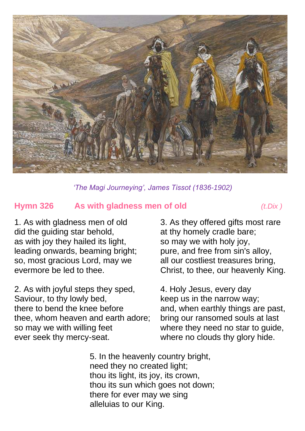

*'The Magi Journeying', James Tissot (1836-1902)*

#### **Hymn 326 As with gladness men of old** *(t.Dix )*

1. As with gladness men of old did the guiding star behold, as with joy they hailed its light, leading onwards, beaming bright; so, most gracious Lord, may we evermore be led to thee.

2. As with joyful steps they sped, Saviour, to thy lowly bed, there to bend the knee before thee, whom heaven and earth adore; so may we with willing feet ever seek thy mercy-seat.

3. As they offered gifts most rare at thy homely cradle bare; so may we with holy joy, pure, and free from sin's alloy, all our costliest treasures bring, Christ, to thee, our heavenly King.

4. Holy Jesus, every day keep us in the narrow way; and, when earthly things are past, bring our ransomed souls at last where they need no star to guide, where no clouds thy glory hide.

5. In the heavenly country bright, need they no created light; thou its light, its joy, its crown, thou its sun which goes not down; there for ever may we sing alleluias to our King.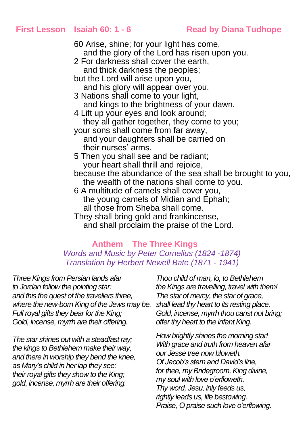#### **First Lesson Isaiah 60: 1 - 6 Read by Diana Tudhope**

60 Arise, shine; for your light has come, and the glory of the Lord has risen upon you. 2 For darkness shall cover the earth, and thick darkness the peoples; but the Lord will arise upon you, and his glory will appear over you. 3 Nations shall come to your light, and kings to the brightness of your dawn. 4 Lift up your eyes and look around; they all gather together, they come to you; your sons shall come from far away, and your daughters shall be carried on their nurses' arms. 5 Then you shall see and be radiant; your heart shall thrill and rejoice, because the abundance of the sea shall be brought to you, the wealth of the nations shall come to you. 6 A multitude of camels shall cover you, the young camels of Midian and Ephah; all those from Sheba shall come. They shall bring gold and frankincense, and shall proclaim the praise of the Lord.

#### **Anthem The Three Kings** *Words and Music by Peter Cornelius (1824 -1874) Translation by Herbert Newell Bate (1871 - 1941)*

*Three Kings from Persian lands afar to Jordan follow the pointing star: and this the quest of the travellers three, where the new-born King of the Jews may be. shall lead thy heart to its resting place. Full royal gifts they bear for the King; Gold, incense, myrrh are their offering.*

*The star shines out with a steadfast ray; the kings to Bethlehem make their way, and there in worship they bend the knee, as Mary's child in her lap they see; their royal gifts they show to the King; gold, incense, myrrh are their offering.*

*Thou child of man, lo, to Bethlehem the Kings are travelling, travel with them! The star of mercy, the star of grace, Gold, incense, myrrh thou canst not bring; offer thy heart to the infant King.*

*How brightly shines the morning star! With grace and truth from heaven afar our Jesse tree now bloweth. Of Jacob's stem and David's line, for thee, my Bridegroom, King divine, my soul with love o'erfloweth. Thy word, Jesu, inly feeds us, rightly leads us, life bestowing. Praise, O praise such love o'erflowing.*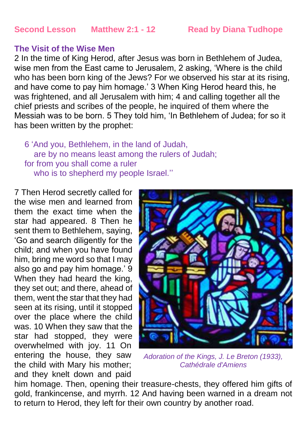#### **Second Lesson Matthew 2:1 - 12 Read by Diana Tudhope**

#### **The Visit of the Wise Men**

2 In the time of King Herod, after Jesus was born in Bethlehem of Judea, wise men from the East came to Jerusalem, 2 asking, 'Where is the child who has been born king of the Jews? For we observed his star at its rising, and have come to pay him homage.' 3 When King Herod heard this, he was frightened, and all Jerusalem with him; 4 and calling together all the chief priests and scribes of the people, he inquired of them where the Messiah was to be born. 5 They told him, 'In Bethlehem of Judea; for so it has been written by the prophet:

6 'And you, Bethlehem, in the land of Judah, are by no means least among the rulers of Judah; for from you shall come a ruler who is to shepherd my people Israel."

7 Then Herod secretly called for the wise men and learned from them the exact time when the star had appeared. 8 Then he sent them to Bethlehem, saying, 'Go and search diligently for the child; and when you have found him, bring me word so that I may also go and pay him homage.' 9 When they had heard the king, they set out; and there, ahead of them, went the star that they had seen at its rising, until it stopped over the place where the child was. 10 When they saw that the star had stopped, they were overwhelmed with joy. 11 On entering the house, they saw the child with Mary his mother; and they knelt down and paid



*Adoration of the Kings, J. Le Breton (1933), Cathédrale d'Amiens*

him homage. Then, opening their treasure-chests, they offered him gifts of gold, frankincense, and myrrh. 12 And having been warned in a dream not to return to Herod, they left for their own country by another road.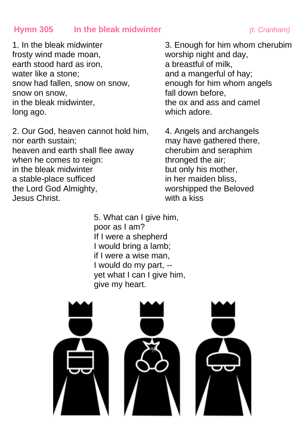#### **Hymn 305 In the bleak midwinter** *(t. Cranham)*

1. In the bleak midwinter frosty wind made moan, earth stood hard as iron, water like a stone; snow had fallen, snow on snow, snow on snow, in the bleak midwinter, long ago.

2. Our God, heaven cannot hold him, nor earth sustain; heaven and earth shall flee away when he comes to reign: in the bleak midwinter a stable-place sufficed the Lord God Almighty, Jesus Christ.

3. Enough for him whom cherubim worship night and day, a breastful of milk, and a mangerful of hay; enough for him whom angels fall down before, the ox and ass and camel which adore.

4. Angels and archangels may have gathered there, cherubim and seraphim thronged the air; but only his mother, in her maiden bliss, worshipped the Beloved with a kiss

5. What can I give him, poor as I am? If I were a shepherd I would bring a lamb; if I were a wise man, I would do my part, - vet what I can I give him. give my heart.

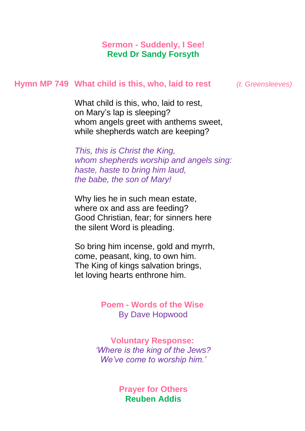#### **Sermon - Suddenly, I See! Revd Dr Sandy Forsyth**

#### **Hymn MP 749 What child is this, who, laid to rest** *(t. Greensleeves)*

What child is this, who, laid to rest, on Mary's lap is sleeping? whom angels greet with anthems sweet, while shepherds watch are keeping?

*This, this is Christ the King, whom shepherds worship and angels sing: haste, haste to bring him laud, the babe, the son of Mary!*

Why lies he in such mean estate, where ox and ass are feeding? Good Christian, fear; for sinners here the silent Word is pleading.

So bring him incense, gold and myrrh, come, peasant, king, to own him. The King of kings salvation brings, let loving hearts enthrone him.

> **Poem - Words of the Wise** By Dave Hopwood

**Voluntary Response:** *'Where is the king of the Jews? We've come to worship him.'*

> **Prayer for Others Reuben Addis**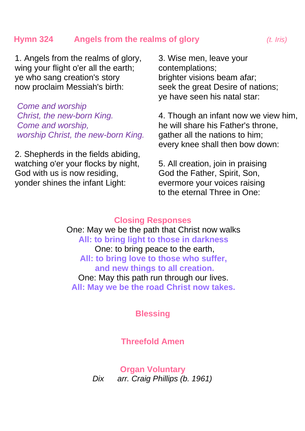#### **Hymn 324 Angels from the realms of glory** *(t. Iris)*

1. Angels from the realms of glory, wing your flight o'er all the earth: ye who sang creation's story now proclaim Messiah's birth:

*Come and worship Christ, the new-born King. Come and worship, worship Christ, the new-born King.*

2. Shepherds in the fields abiding, watching o'er your flocks by night, God with us is now residing, yonder shines the infant Light:

3. Wise men, leave your contemplations; brighter visions beam afar; seek the great Desire of nations; ye have seen his natal star:

4. Though an infant now we view him, he will share his Father's throne, gather all the nations to him; every knee shall then bow down:

5. All creation, join in praising God the Father, Spirit, Son, evermore your voices raising to the eternal Three in One:

#### **Closing Responses**

One: May we be the path that Christ now walks **All: to bring light to those in darkness** One: to bring peace to the earth, **All: to bring love to those who suffer, and new things to all creation.** One: May this path run through our lives. **All: May we be the road Christ now takes.**

**Blessing**

#### **Threefold Amen**

**Organ Voluntary** *Dix arr. Craig Phillips (b. 1961)*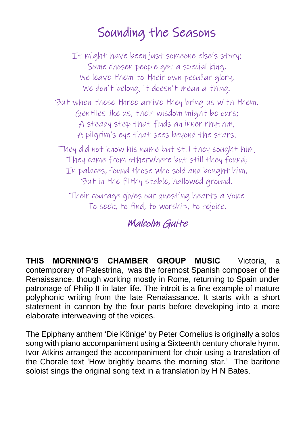# Sounding the Seasons

It might have been just someone else's story; Some chosen people get a special king, We leave them to their own peculiar glory, We don't belong, it doesn't mean a thing.

But when these three arrive they bring us with them, Gentiles like us, their wisdom might be ours; A steady step that finds an inner rhythm, A pilgrim's eye that sees beyond the stars.

They did not know his name but still they sought him, They came from otherwhere but still they found; In palaces, found those who sold and bought him, But in the filthy stable, hallowed ground.

Their courage gives our questing hearts a voice To seek, to find, to worship, to rejoice.

## Malcolm Guite

**THIS MORNING'S CHAMBER GROUP MUSIC** Victoria, a contemporary of Palestrina, was the foremost Spanish composer of the Renaissance, though working mostly in Rome, returning to Spain under patronage of Philip II in later life. The introit is a fine example of mature polyphonic writing from the late Renaiassance. It starts with a short statement in cannon by the four parts before developing into a more elaborate interweaving of the voices.

The Epiphany anthem 'Die Könige' by Peter Cornelius is originally a solos song with piano accompaniment using a Sixteenth century chorale hymn. Ivor Atkins arranged the accompaniment for choir using a translation of the Chorale text 'How brightly beams the morning star.' The baritone soloist sings the original song text in a translation by H N Bates.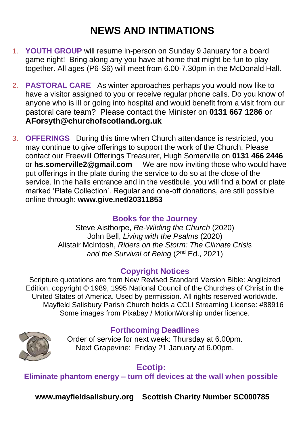# **NEWS AND INTIMATIONS**

- 1. **YOUTH GROUP** will resume in-person on Sunday 9 January for a board game night! Bring along any you have at home that might be fun to play together. All ages (P6-S6) will meet from 6.00-7.30pm in the McDonald Hall.
- 2. **PASTORAL CARE** As winter approaches perhaps you would now like to have a visitor assigned to you or receive regular phone calls. Do you know of anyone who is ill or going into hospital and would benefit from a visit from our pastoral care team? Please contact the Minister on **0131 667 1286** or **AForsyth@churchofscotland.org.uk**
- 3. **OFFERINGS** During this time when Church attendance is restricted, you may continue to give offerings to support the work of the Church. Please contact our Freewill Offerings Treasurer, Hugh Somerville on **0131 466 2446** or **[hs.somerville2@gmail.com](mailto:hs.somerville2@gmail.com)** We are now inviting those who would have put offerings in the plate during the service to do so at the close of the service. In the halls entrance and in the vestibule, you will find a bowl or plate marked 'Plate Collection'. Regular and one-off donations, are still possible online through: **www.give.net/20311853**

#### **Books for the Journey**

Steve Aisthorpe, *Re-Wilding the Church* (2020) John Bell, *Living with the Psalms* (2020) Alistair McIntosh, *Riders on the Storm: The Climate Crisis and the Survival of Being* (2nd Ed., 2021)

#### **Copyright Notices**

Scripture quotations are from New Revised Standard Version Bible: Anglicized Edition, copyright © 1989, 1995 National Council of the Churches of Christ in the United States of America. Used by permission. All rights reserved worldwide. Mayfield Salisbury Parish Church holds a CCLI Streaming License: #88916 Some images from Pixabay / MotionWorship under licence.



### **Forthcoming Deadlines**

Order of service for next week: Thursday at 6.00pm. Next Grapevine: Friday 21 January at 6.00pm.

### **Ecotip:**

**Eliminate phantom energy – turn off devices at the wall when possible**

**www.mayfieldsalisbury.org Scottish Charity Number SC000785**